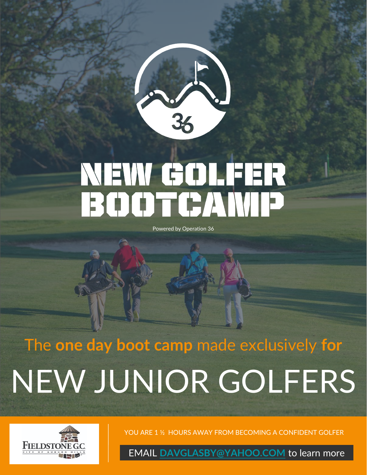

# NEW GOLFER<br>BOOTCAND

Powered by Operation 36

# The **one day boot camp** made exclusively **for** NEW JUNIOR GOLFERS



YOU ARE 1 ½ HOURS AWAY FROM BECOMING A CONFIDENT GOLFER

EMAIL **[DAVGLASBY@YAHOO.COM](mailto:DAVGLASBY@YAHOO.COM)** to learn more